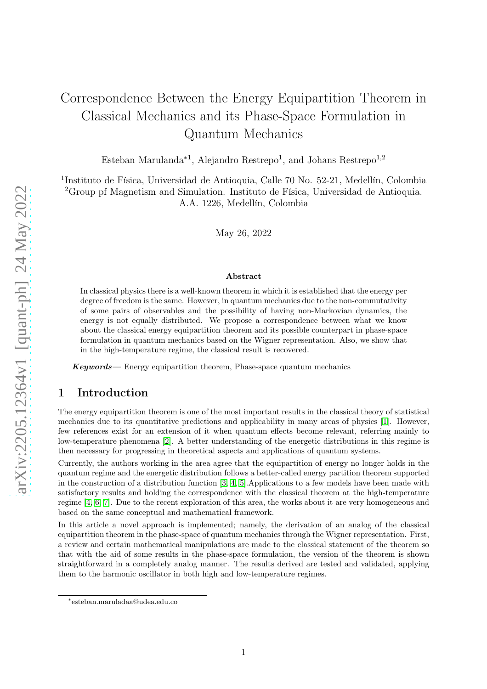# Correspondence Between the Energy Equipartition Theorem in Classical Mechanics and its Phase-Space Formulation in Quantum Mechanics

Esteban Marulanda<sup>∗1</sup>, Alejandro Restrepo<sup>1</sup>, and Johans Restrepo<sup>1,2</sup>

<sup>1</sup>Instituto de Física, Universidad de Antioquia, Calle 70 No. 52-21, Medellín, Colombia <sup>2</sup>Group pf Magnetism and Simulation. Instituto de Física, Universidad de Antioquia. A.A. 1226, Medellín, Colombia

May 26, 2022

#### Abstract

In classical physics there is a well-known theorem in which it is established that the energy per degree of freedom is the same. However, in quantum mechanics due to the non-commutativity of some pairs of observables and the possibility of having non-Markovian dynamics, the energy is not equally distributed. We propose a correspondence between what we know about the classical energy equipartition theorem and its possible counterpart in phase-space formulation in quantum mechanics based on the Wigner representation. Also, we show that in the high-temperature regime, the classical result is recovered.

 $Keywords$ — Energy equipartition theorem, Phase-space quantum mechanics

# 1 Introduction

The energy equipartition theorem is one of the most important results in the classical theory of statistical mechanics due to its quantitative predictions and applicability in many areas of physics [\[1\]](#page-6-0). However, few references exist for an extension of it when quantum effects become relevant, referring mainly to low-temperature phenomena [\[2\]](#page-6-1). A better understanding of the energetic distributions in this regime is then necessary for progressing in theoretical aspects and applications of quantum systems.

Currently, the authors working in the area agree that the equipartition of energy no longer holds in the quantum regime and the energetic distribution follows a better-called energy partition theorem supported in the construction of a distribution function [\[3,](#page-6-2) [4,](#page-6-3) [5\]](#page-6-4).Applications to a few models have been made with satisfactory results and holding the correspondence with the classical theorem at the high-temperature regime [\[4,](#page-6-3) [6,](#page-6-5) [7\]](#page-6-6). Due to the recent exploration of this area, the works about it are very homogeneous and based on the same conceptual and mathematical framework.

In this article a novel approach is implemented; namely, the derivation of an analog of the classical equipartition theorem in the phase-space of quantum mechanics through the Wigner representation. First, a review and certain mathematical manipulations are made to the classical statement of the theorem so that with the aid of some results in the phase-space formulation, the version of the theorem is shown straightforward in a completely analog manner. The results derived are tested and validated, applying them to the harmonic oscillator in both high and low-temperature regimes.

<sup>∗</sup> esteban.maruladaa@udea.edu.co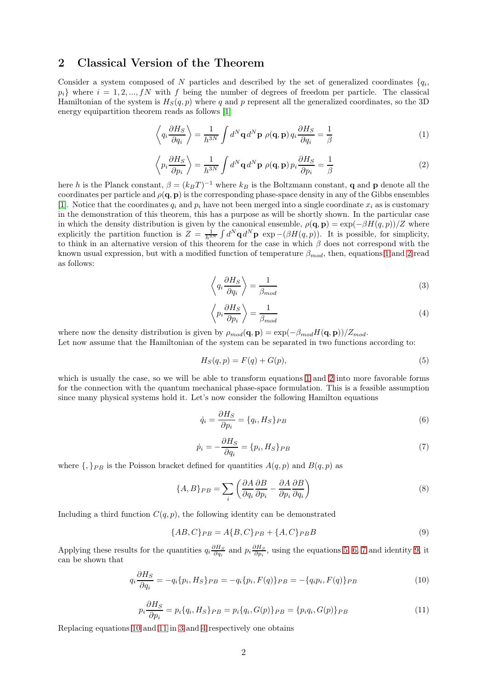# 2 Classical Version of the Theorem

Consider a system composed of N particles and described by the set of generalized coordinates  $\{q_i,$  $p_i$  where  $i = 1, 2, ..., fN$  with f being the number of degrees of freedom per particle. The classical Hamiltonian of the system is  $H_S(q, p)$  where q and p represent all the generalized coordinates, so the 3D energy equipartition theorem reads as follows [\[1\]](#page-6-0)

<span id="page-1-0"></span>
$$
\left\langle q_i \frac{\partial H_S}{\partial q_i} \right\rangle = \frac{1}{h^{3N}} \int d^N \mathbf{q} \, d^N \mathbf{p} \, \rho(\mathbf{q}, \mathbf{p}) \, q_i \frac{\partial H_S}{\partial q_i} = \frac{1}{\beta} \tag{1}
$$

<span id="page-1-1"></span>
$$
\left\langle p_i \frac{\partial H_S}{\partial p_i} \right\rangle = \frac{1}{h^{3N}} \int d^N \mathbf{q} \, d^N \mathbf{p} \, \rho(\mathbf{q}, \mathbf{p}) \, p_i \frac{\partial H_S}{\partial p_i} = \frac{1}{\beta} \tag{2}
$$

here h is the Planck constant,  $\beta = (k_B T)^{-1}$  where  $k_B$  is the Boltzmann constant, **q** and **p** denote all the coordinates per particle and  $\rho(\mathbf{q}, \mathbf{p})$  is the corresponding phase-space density in any of the Gibbs ensembles [\[1\]](#page-6-0). Notice that the coordinates  $q_i$  and  $p_i$  have not been merged into a single coordinate  $x_i$  as is customary in the demonstration of this theorem, this has a purpose as will be shortly shown. In the particular case in which the density distribution is given by the canonical ensemble,  $\rho(\mathbf{q}, \mathbf{p}) = \exp(-\beta H(q, p))/Z$  where explicitly the partition function is  $Z = \frac{1}{h^{3N}} \int d^N \mathbf{q} d^N \mathbf{p}$  exp –( $\beta H(q, p)$ ). It is possible, for simplicity, to think in an alternative version of this theorem for the case in which  $\beta$  does not correspond with the known usual expression, but with a modified function of temperature  $\beta_{mod}$ , then, equations [1](#page-1-0) and [2](#page-1-1) read as follows:

<span id="page-1-8"></span>
$$
\left\langle q_i \frac{\partial H_S}{\partial q_i} \right\rangle = \frac{1}{\beta_{mod}} \tag{3}
$$

<span id="page-1-9"></span>
$$
\left\langle p_i \frac{\partial H_S}{\partial p_i} \right\rangle = \frac{1}{\beta_{mod}} \tag{4}
$$

where now the density distribution is given by  $\rho_{mod}(\mathbf{q}, \mathbf{p}) = \exp(-\beta_{mod}H(\mathbf{q}, \mathbf{p}))/Z_{mod}$ .

Let now assume that the Hamiltonian of the system can be separated in two functions according to:

<span id="page-1-2"></span>
$$
H_S(q, p) = F(q) + G(p),\tag{5}
$$

which is usually the case, so we will be able to transform equations [1](#page-1-0) and [2](#page-1-1) into more favorable forms for the connection with the quantum mechanical phase-space formulation. This is a feasible assumption since many physical systems hold it. Let's now consider the following Hamilton equations

<span id="page-1-3"></span>
$$
\dot{q}_i = \frac{\partial H_S}{\partial p_i} = \{q_i, H_S\}_{PB} \tag{6}
$$

<span id="page-1-4"></span>
$$
\dot{p}_i = -\frac{\partial H_S}{\partial q_i} = \{p_i, H_S\}_{PB} \tag{7}
$$

where  $\{,\}_{PB}$  is the Poisson bracket defined for quantities  $A(q, p)$  and  $B(q, p)$  as

$$
\{A, B\}_{PB} = \sum_{i} \left( \frac{\partial A}{\partial q_i} \frac{\partial B}{\partial p_i} - \frac{\partial A}{\partial p_i} \frac{\partial B}{\partial q_i} \right) \tag{8}
$$

Including a third function  $C(q, p)$ , the following identity can be demonstrated

<span id="page-1-5"></span>
$$
\{AB, C\}_{PB} = A\{B, C\}_{PB} + \{A, C\}_{PB}B\tag{9}
$$

Applying these results for the quantities  $q_i \frac{\partial H_S}{\partial q_i}$  and  $p_i \frac{\partial H_S}{\partial p_i}$ , using the equations [5,](#page-1-2) [6,](#page-1-3) [7](#page-1-4) and identity [9,](#page-1-5) it can be shown that

<span id="page-1-6"></span>
$$
q_i \frac{\partial H_S}{\partial q_i} = -q_i \{p_i, H_S\}_{PB} = -q_i \{p_i, F(q)\}_{PB} = -\{q_i p_i, F(q)\}_{PB}
$$
(10)

<span id="page-1-7"></span>
$$
p_i \frac{\partial H_S}{\partial p_i} = p_i \{q_i, H_S\}_{PB} = p_i \{q_i, G(p)\}_{PB} = \{p_i q_i, G(p)\}_{PB}
$$
(11)

Replacing equations [10](#page-1-6) and [11](#page-1-7) in [3](#page-1-8) and [4](#page-1-9) respectively one obtains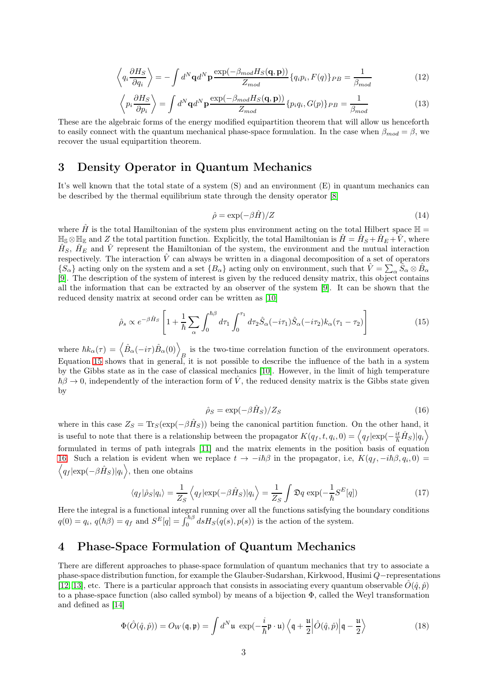<span id="page-2-2"></span>
$$
\left\langle q_i \frac{\partial H_S}{\partial q_i} \right\rangle = -\int d^N \mathbf{q} d^N \mathbf{p} \frac{\exp(-\beta_{mod} H_S(\mathbf{q}, \mathbf{p}))}{Z_{mod}} \{q_i p_i, F(q)\}_{PB} = \frac{1}{\beta_{mod}} \tag{12}
$$

<span id="page-2-3"></span>
$$
\left\langle p_i \frac{\partial H_S}{\partial p_i} \right\rangle = \int d^N \mathbf{q} d^N \mathbf{p} \frac{\exp(-\beta_{mod} H_S(\mathbf{q}, \mathbf{p}))}{Z_{mod}} \{p_i q_i, G(p)\}_{PB} = \frac{1}{\beta_{mod}}
$$
(13)

These are the algebraic forms of the energy modified equipartition theorem that will allow us henceforth to easily connect with the quantum mechanical phase-space formulation. In the case when  $\beta_{mod} = \beta$ , we recover the usual equipartition theorem.

# 3 Density Operator in Quantum Mechanics

It's well known that the total state of a system (S) and an environment (E) in quantum mechanics can be described by the thermal equilibrium state through the density operator [\[8\]](#page-6-7)

$$
\hat{\rho} = \exp(-\beta \hat{H})/Z \tag{14}
$$

where  $\hat{H}$  is the total Hamiltonian of the system plus environment acting on the total Hilbert space  $\mathbb{H}$  $\mathbb{H}_{\mathbb{S}} \otimes \mathbb{H}_{\mathbb{E}}$  and Z the total partition function. Explicitly, the total Hamiltonian is  $\hat{H} = \hat{H}_S + \hat{H}_E + \hat{V}$ , where  $\hat{H}_S$ ,  $\hat{H}_E$  and  $\hat{V}$  represent the Hamiltonian of the system, the environment and the mutual interaction respectively. The interaction  $\hat{V}$  can always be written in a diagonal decomposition of a set of operators  ${S_\alpha}$  acting only on the system and a set  ${B_\alpha}$  acting only on environment, such that  $\hat{V} = \sum_\alpha \hat{S}_\alpha \otimes \hat{B}_\alpha$ [\[9\]](#page-6-8). The description of the system of interest is given by the reduced density matrix, this object contains all the information that can be extracted by an observer of the system [\[9\]](#page-6-8). It can be shown that the reduced density matrix at second order can be written as [\[10\]](#page-6-9)

<span id="page-2-0"></span>
$$
\hat{\rho}_s \propto e^{-\beta \hat{H}_S} \left[ 1 + \frac{1}{\hbar} \sum_{\alpha} \int_0^{\hbar \beta} d\tau_1 \int_0^{\tau_1} d\tau_2 \hat{S}_{\alpha}(-i\tau_1) \hat{S}_{\alpha}(-i\tau_2) k_{\alpha}(\tau_1 - \tau_2) \right]
$$
(15)

where  $\hbar k_{\alpha}(\tau) = \left\langle \hat{B}_{\alpha}(-i\tau)\hat{B}_{\alpha}(0)\right\rangle_B$  is the two-time correlation function of the environment operators. Equation [15](#page-2-0) shows that in general, it is not possible to describe the influence of the bath in a system by the Gibbs state as in the case of classical mechanics [\[10\]](#page-6-9). However, in the limit of high temperature  $\hbar\beta \to 0$ , independently of the interaction form of  $\hat{V}$ , the reduced density matrix is the Gibbs state given by

<span id="page-2-1"></span>
$$
\hat{\rho}_S = \exp(-\beta \hat{H}_S) / Z_S \tag{16}
$$

where in this case  $Z_S = \text{Tr}_S(\exp(-\beta \hat{H}_S))$  being the canonical partition function. On the other hand, it is useful to note that there is a relationship between the propagator  $K(q_f,t,q_i,0) = \left\langle q_f | \exp(-\frac{it}{\hbar}\hat{H}_S) | q_i \right\rangle$ formulated in terms of path integrals [\[11\]](#page-7-0) and the matrix elements in the position basis of equation [16.](#page-2-1) Such a relation is evident when we replace  $t \to -i\hbar\beta$  in the propagator, i.e,  $K(q_f, -i\hbar\beta, q_i, 0) =$  $\langle q_f | \exp(-\beta \hat{H}_S) | q_i \rangle$ , then one obtains

$$
\langle q_f|\hat{\rho}_S|q_i\rangle = \frac{1}{Z_S} \left\langle q_f|\exp(-\beta \hat{H}_S)|q_i\right\rangle = \frac{1}{Z_S} \int \mathfrak{D}q \, \exp(-\frac{1}{\hbar}S^E[q]) \tag{17}
$$

Here the integral is a functional integral running over all the functions satisfying the boundary conditions  $q(0) = q_i$ ,  $q(h\beta) = q_f$  and  $S^E[q] = \int_0^{\hbar\beta} ds H_S(q(s), p(s))$  is the action of the system.

# 4 Phase-Space Formulation of Quantum Mechanics

There are different approaches to phase-space formulation of quantum mechanics that try to associate a phase-space distribution function, for example the Glauber-Sudarshan, Kirkwood, Husimi Q−representations [\[12,](#page-7-1) [13\]](#page-7-2), etc. There is a particular approach that consists in associating every quantum observable  $\hat{O}(\hat{q}, \hat{p})$ to a phase-space function (also called symbol) by means of a bijection Φ, called the Weyl transformation and defined as [\[14\]](#page-7-3)

$$
\Phi(\hat{O}(\hat{q}, \hat{p})) = O_W(\mathfrak{q}, \mathfrak{p}) = \int d^N \mathfrak{u} \, \exp(-\frac{i}{\hbar} \mathfrak{p} \cdot \mathfrak{u}) \left\langle \mathfrak{q} + \frac{\mathfrak{u}}{2} \middle| \hat{O}(\hat{q}, \hat{p}) \middle| \mathfrak{q} - \frac{\mathfrak{u}}{2} \right\rangle \tag{18}
$$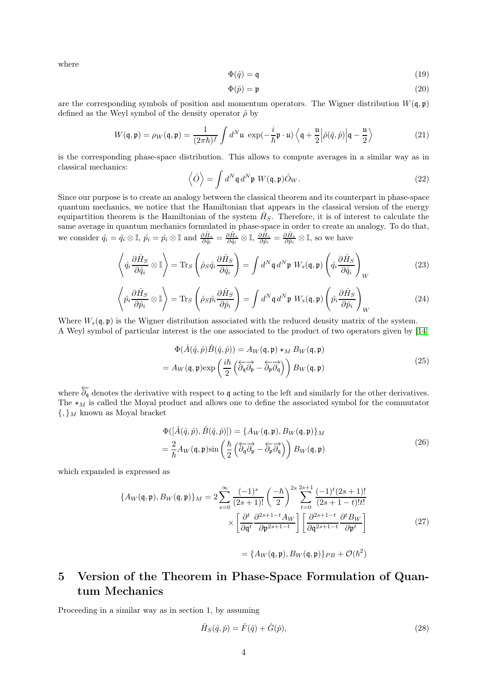where

$$
\Phi(\hat{q}) = \mathfrak{q} \tag{19}
$$

$$
\Phi(\hat{p}) = \mathfrak{p} \tag{20}
$$

are the corresponding symbols of position and momentum operators. The Wigner distribution  $W(q, \mathfrak{p})$ defined as the Weyl symbol of the density operator  $\hat{\rho}$  by

$$
W(\mathbf{q}, \mathbf{p}) = \rho_W(\mathbf{q}, \mathbf{p}) = \frac{1}{(2\pi\hbar)^f} \int d^N \mathbf{u} \exp(-\frac{i}{\hbar} \mathbf{p} \cdot \mathbf{u}) \left\langle \mathbf{q} + \frac{\mathbf{u}}{2} \left| \hat{\rho}(\hat{q}, \hat{p}) \right| \mathbf{q} - \frac{\mathbf{u}}{2} \right\rangle
$$
 (21)

is the corresponding phase-space distribution. This allows to compute averages in a similar way as in classical mechanics:

$$
\left\langle \hat{O} \right\rangle = \int d^N \mathfrak{q} \, d^N \mathfrak{p} \, W(\mathfrak{q}, \mathfrak{p}) \hat{O}_W. \tag{22}
$$

Since our purpose is to create an analogy between the classical theorem and its counterpart in phase-space quantum mechanics, we notice that the Hamiltonian that appears in the classical version of the energy equipartition theorem is the Hamiltonian of the system  $\hat{H}_S$ . Therefore, it is of interest to calculate the same average in quantum mechanics formulated in phase-space in order to create an analogy. To do that, we consider  $\hat{q}_i = \hat{q}_i \otimes \mathbb{I}$ ,  $\hat{p}_i = \hat{p}_i \otimes \mathbb{I}$  and  $\frac{\partial \hat{H}_s}{\partial \hat{q}_i} = \frac{\partial \hat{H}_s}{\partial \hat{q}_i} \otimes \mathbb{I}$ ,  $\frac{\partial \hat{H}_s}{\partial \hat{p}_i} = \frac{\partial \hat{H}_s}{\partial \hat{p}_i} \otimes \mathbb{I}$ , so we have

<span id="page-3-0"></span>
$$
\left\langle \hat{q}_i \frac{\partial \hat{H}_S}{\partial \hat{q}_i} \otimes \mathbb{I} \right\rangle = \text{Tr}_S \left( \hat{\rho}_S \hat{q}_i \frac{\partial \hat{H}_S}{\partial \hat{q}_i} \right) = \int d^N \mathfrak{q} \, d^N \mathfrak{p} \, W_s(\mathfrak{q}, \mathfrak{p}) \left( \hat{q}_i \frac{\partial \hat{H}_S}{\partial \hat{q}_i} \right)_W \tag{23}
$$

<span id="page-3-1"></span>
$$
\left\langle \hat{p}_{i} \frac{\partial \hat{H}_{S}}{\partial \hat{p}_{i}} \otimes \mathbb{I} \right\rangle = \text{Tr}_{S} \left( \hat{\rho}_{S} \hat{p}_{i} \frac{\partial \hat{H}_{S}}{\partial \hat{p}_{i}} \right) = \int d^{N} \mathfrak{q} d^{N} \mathfrak{p} W_{s}(\mathfrak{q}, \mathfrak{p}) \left( \hat{p}_{i} \frac{\partial \hat{H}_{S}}{\partial \hat{p}_{i}} \right)_{W}
$$
(24)

Where  $W_s(\mathfrak{q}, \mathfrak{p})$  is the Wigner distribution associated with the reduced density matrix of the system. A Weyl symbol of particular interest is the one associated to the product of two operators given by [\[14\]](#page-7-3)

$$
\Phi(\hat{A}(\hat{q}, \hat{p})\hat{B}(\hat{q}, \hat{p})) = A_W(\mathfrak{q}, \mathfrak{p}) \star_M B_W(\mathfrak{q}, \mathfrak{p}) \n= A_W(\mathfrak{q}, \mathfrak{p}) \exp\left(\frac{i\hbar}{2} \left(\overleftarrow{\partial_{\mathfrak{q}}}\overrightarrow{\partial_{\mathfrak{p}}}-\overleftarrow{\partial_{\mathfrak{p}}}\overrightarrow{\partial_{\mathfrak{q}}}\right)\right) B_W(\mathfrak{q}, \mathfrak{p})
$$
\n(25)

where  $\overleftarrow{\partial_q}$  denotes the derivative with respect to q acting to the left and similarly for the other derivatives. The  $\star_M$  is called the Moyal product and allows one to define the associated symbol for the commutator  $\{,\}_M$  known as Moyal bracket

$$
\Phi([\hat{A}(\hat{q}, \hat{p}), \hat{B}(\hat{q}, \hat{p})]) = \{A_W(\mathbf{q}, \mathbf{p}), B_W(\mathbf{q}, \mathbf{p})\}_M \n= \frac{2}{\hbar} A_W(\mathbf{q}, \mathbf{p}) \sin\left(\frac{\hbar}{2} \left(\overleftarrow{\partial_\mathbf{q}} \overrightarrow{\partial_\mathbf{p}} - \overleftarrow{\partial_\mathbf{p}} \overrightarrow{\partial_\mathbf{q}}\right)\right) B_W(\mathbf{q}, \mathbf{p})
$$
\n(26)

<span id="page-3-2"></span>which expanded is expressed as

$$
\{A_W(\mathfrak{q}, \mathfrak{p}), B_W(\mathfrak{q}, \mathfrak{p})\}_M = 2 \sum_{s=0}^{\infty} \frac{(-1)^s}{(2s+1)!} \left(\frac{-\hbar}{2}\right)^{2s} \sum_{t=0}^{2s+1} \frac{(-1)^t (2s+1)!}{(2s+1-t)!t!} \times \left[\frac{\partial^t}{\partial \mathfrak{q}^t} \frac{\partial^{2s+1-t} A_W}{\partial \mathfrak{p}^{2s+1-t}}\right] \left[\frac{\partial^{2s+1-t}}{\partial \mathfrak{q}^{2s+1-t}} \frac{\partial^t B_W}{\partial \mathfrak{p}^t}\right]
$$
(27)

$$
= \{A_W(\mathfrak{q}, \mathfrak{p}), B_W(\mathfrak{q}, \mathfrak{p})\}_{PB} + \mathcal{O}(\hbar^2)
$$

# 5 Version of the Theorem in Phase-Space Formulation of Quantum Mechanics

Proceeding in a similar way as in section 1, by assuming

$$
\hat{H}_S(\hat{q}, \hat{p}) = \hat{F}(\hat{q}) + \hat{G}(\hat{p}),
$$
\n(28)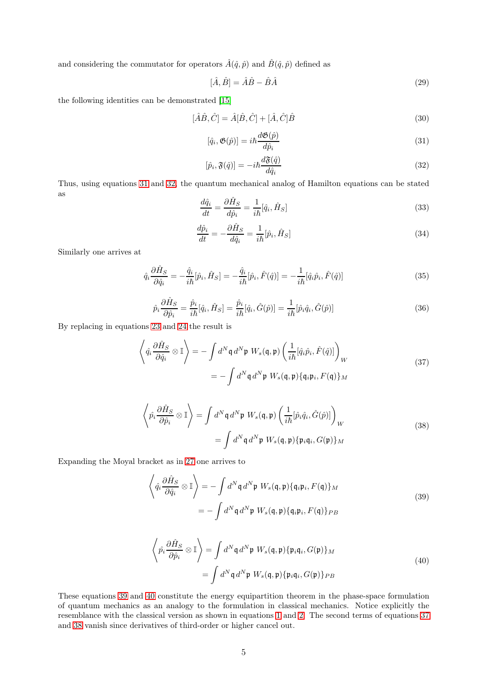and considering the commutator for operators  $\hat{A}(\hat{q}, \hat{p})$  and  $\hat{B}(\hat{q}, \hat{p})$  defined as

$$
[\hat{A}, \hat{B}] = \hat{A}\hat{B} - \hat{B}\hat{A}
$$
\n(29)

the following identities can be demonstrated [\[15\]](#page-7-4)

$$
[\hat{A}\hat{B}, \hat{C}] = \hat{A}[\hat{B}, \hat{C}] + [\hat{A}, \hat{C}]\hat{B}
$$
\n(30)

<span id="page-4-0"></span>
$$
[\hat{q}_i, \mathfrak{G}(\hat{p})] = i\hbar \frac{d\mathfrak{G}(\hat{p})}{d\hat{p}_i}
$$
\n(31)

<span id="page-4-1"></span>
$$
[\hat{p}_i, \mathfrak{F}(\hat{q})] = -i\hbar \frac{d\mathfrak{F}(\hat{q})}{d\hat{q}_i} \tag{32}
$$

Thus, using equations [31](#page-4-0) and [32,](#page-4-1) the quantum mechanical analog of Hamilton equations can be stated as

$$
\frac{d\hat{q}_i}{dt} = \frac{\partial \hat{H}_S}{d\hat{p}_i} = \frac{1}{i\hbar} [\hat{q}_i, \hat{H}_S]
$$
\n(33)

$$
\frac{d\hat{p}_i}{dt} = -\frac{\partial \hat{H}_S}{d\hat{q}_i} = \frac{1}{i\hbar} [\hat{p}_i, \hat{H}_S]
$$
\n(34)

Similarly one arrives at

$$
\hat{q}_i \frac{\partial \hat{H}_S}{\partial \hat{q}_i} = -\frac{\hat{q}_i}{i\hbar} [\hat{p}_i, \hat{H}_S] = -\frac{\hat{q}_i}{i\hbar} [\hat{p}_i, \hat{F}(\hat{q})] = -\frac{1}{i\hbar} [\hat{q}_i \hat{p}_i, \hat{F}(\hat{q})]
$$
\n(35)

$$
\hat{p}_i \frac{\partial \hat{H}_S}{\partial \hat{p}_i} = \frac{\hat{p}_i}{i\hbar} [\hat{q}_i, \hat{H}_S] = \frac{\hat{p}_i}{i\hbar} [\hat{q}_i, \hat{G}(\hat{p})] = \frac{1}{i\hbar} [\hat{p}_i \hat{q}_i, \hat{G}(\hat{p})]
$$
\n(36)

<span id="page-4-4"></span>By replacing in equations [23](#page-3-0) and [24](#page-3-1) the result is

$$
\left\langle \hat{q}_i \frac{\partial \hat{H}_S}{\partial \hat{q}_i} \otimes \mathbb{I} \right\rangle = -\int d^N \mathfrak{q} \, d^N \mathfrak{p} \, W_s(\mathfrak{q}, \mathfrak{p}) \left( \frac{1}{i\hbar} [\hat{q}_i \hat{p}_i, \hat{F}(\hat{q})] \right)_W
$$
\n
$$
= -\int d^N \mathfrak{q} \, d^N \mathfrak{p} \, W_s(\mathfrak{q}, \mathfrak{p}) \{ \mathfrak{q}_i \mathfrak{p}_i, F(\mathfrak{q}) \}_M
$$
\n(37)

$$
\left\langle \hat{p}_i \frac{\partial \hat{H}_S}{\partial \hat{p}_i} \otimes \mathbb{I} \right\rangle = \int d^N \mathfrak{q} \, d^N \mathfrak{p} \, W_s(\mathfrak{q}, \mathfrak{p}) \left( \frac{1}{i\hbar} [\hat{p}_i \hat{q}_i, \hat{G}(\hat{p})] \right)_W
$$
\n
$$
= \int d^N \mathfrak{q} \, d^N \mathfrak{p} \, W_s(\mathfrak{q}, \mathfrak{p}) \{ \mathfrak{p}_i \mathfrak{q}_i, G(\mathfrak{p}) \}_M
$$
\n(38)

<span id="page-4-5"></span><span id="page-4-2"></span>Expanding the Moyal bracket as in [27](#page-3-2) one arrives to

$$
\left\langle \hat{q}_i \frac{\partial \hat{H}_S}{\partial \hat{q}_i} \otimes \mathbb{I} \right\rangle = -\int d^N \mathfrak{q} \, d^N \mathfrak{p} \, W_s(\mathfrak{q}, \mathfrak{p}) \{ \mathfrak{q}_i \mathfrak{p}_i, F(\mathfrak{q}) \}_M
$$
\n
$$
= -\int d^N \mathfrak{q} \, d^N \mathfrak{p} \, W_s(\mathfrak{q}, \mathfrak{p}) \{ \mathfrak{q}_i \mathfrak{p}_i, F(\mathfrak{q}) \}_P B
$$
\n(39)

$$
\left\langle \hat{p}_i \frac{\partial \hat{H}_S}{\partial \hat{p}_i} \otimes \mathbb{I} \right\rangle = \int d^N \mathfrak{q} \, d^N \mathfrak{p} \, W_s(\mathfrak{q}, \mathfrak{p}) \{ \mathfrak{p}_i \mathfrak{q}_i, G(\mathfrak{p}) \}_M
$$
\n
$$
= \int d^N \mathfrak{q} \, d^N \mathfrak{p} \, W_s(\mathfrak{q}, \mathfrak{p}) \{ \mathfrak{p}_i \mathfrak{q}_i, G(\mathfrak{p}) \}_{PB}
$$
\n(40)

<span id="page-4-3"></span>These equations [39](#page-4-2) and [40](#page-4-3) constitute the energy equipartition theorem in the phase-space formulation of quantum mechanics as an analogy to the formulation in classical mechanics. Notice explicitly the resemblance with the classical version as shown in equations [1](#page-1-0) and [2.](#page-1-1) The second terms of equations [37](#page-4-4) and [38](#page-4-5) vanish since derivatives of third-order or higher cancel out.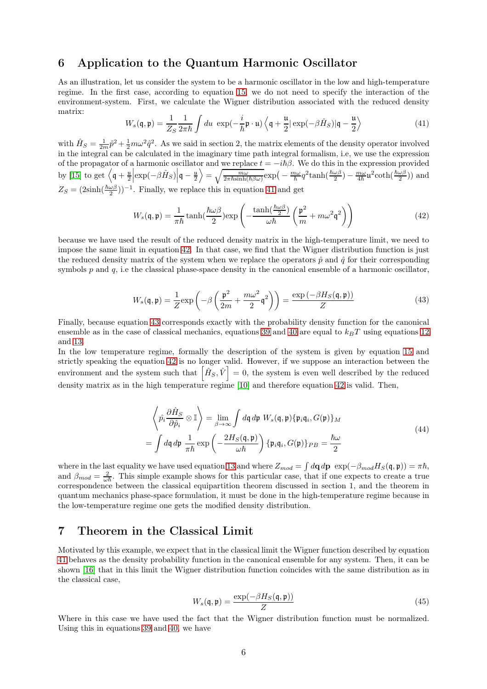# 6 Application to the Quantum Harmonic Oscillator

As an illustration, let us consider the system to be a harmonic oscillator in the low and high-temperature regime. In the first case, according to equation [15,](#page-2-0) we do not need to specify the interaction of the environment-system. First, we calculate the Wigner distribution associated with the reduced density matrix:

<span id="page-5-0"></span>
$$
W_s(\mathbf{q}, \mathbf{p}) = \frac{1}{Z_S} \frac{1}{2\pi\hbar} \int du \exp(-\frac{i}{\hbar} \mathbf{p} \cdot \mathbf{u}) \left\langle \mathbf{q} + \frac{\mathbf{u}}{2} |\exp(-\beta \hat{H}_S)| \mathbf{q} - \frac{\mathbf{u}}{2} \right\rangle
$$
 (41)

with  $\hat{H}_S = \frac{1}{2m}\hat{p}^2 + \frac{1}{2}m\omega^2\hat{q}^2$ . As we said in section 2, the matrix elements of the density operator involved in the integral can be calculated in the imaginary time path integral formalism, i.e, we use the expression of the propagator of a harmonic oscillator and we replace  $t = -i\hbar\beta$ . We do this in the expression provided by [\[15\]](#page-7-4) to get  $\left\langle \mathfrak{q} + \frac{\mathfrak{u}}{2} \right| \exp(-\beta \hat{H}_S) \left| \mathfrak{q} - \frac{\mathfrak{u}}{2} \right\rangle = \sqrt{\frac{m\omega}{2\pi\hbar \sinh(\hbar\beta\omega)}} \exp\left(-\frac{m\omega}{\hbar}q^2\tanh(\frac{\hbar\omega\beta}{2}) - \frac{m\omega}{4\hbar}\mathfrak{u}^2\coth(\frac{\hbar\omega\beta}{2})\right)$  and  $Z_S = (2\sinh(\frac{\hbar\omega\beta}{2})$  $\frac{\omega\beta}{2})$ )<sup>-1</sup>. Finally, we replace this in equation [41](#page-5-0) and get

$$
W_s(\mathbf{\mathfrak{q}}, \mathbf{\mathfrak{p}}) = \frac{1}{\pi \hbar} \tanh(\frac{\hbar \omega \beta}{2}) \exp\left(-\frac{\tanh(\frac{\hbar \omega \beta}{2})}{\omega \hbar} \left(\frac{\mathbf{\mathfrak{p}}^2}{m} + m \omega^2 \mathbf{\mathfrak{q}}^2\right)\right)
$$
(42)

<span id="page-5-1"></span>because we have used the result of the reduced density matrix in the high-temperature limit, we need to impose the same limit in equation [42.](#page-5-1) In that case, we find that the Wigner distribution function is just the reduced density matrix of the system when we replace the operators  $\hat{p}$  and  $\hat{q}$  for their corresponding symbols p and q, i.e the classical phase-space density in the canonical ensemble of a harmonic oscillator,

$$
W_s(\mathbf{q}, \mathbf{p}) = \frac{1}{Z} \exp\left(-\beta \left(\frac{\mathbf{p}^2}{2m} + \frac{m\omega^2}{2}\mathbf{q}^2\right)\right) = \frac{\exp\left(-\beta H_S(\mathbf{q}, \mathbf{p})\right)}{Z} \tag{43}
$$

<span id="page-5-2"></span>Finally, because equation [43](#page-5-2) corresponds exactly with the probability density function for the canonical ensemble as in the case of classical mechanics, equations [39](#page-4-2) and [40](#page-4-3) are equal to  $k_BT$  using equations [12](#page-2-2) and [13.](#page-2-3)

In the low temperature regime, formally the description of the system is given by equation [15](#page-2-0) and strictly speaking the equation [42](#page-5-1) is no longer valid. However, if we suppose an interaction between the environment and the system such that  $\left[\hat{H}_S, \hat{V}\right] = 0$ , the system is even well described by the reduced density matrix as in the high temperature regime [\[10\]](#page-6-9) and therefore equation [42](#page-5-1) is valid. Then,

$$
\left\langle \hat{p}_{i} \frac{\partial \hat{H}_{S}}{\partial \hat{p}_{i}} \otimes \mathbb{I} \right\rangle = \lim_{\beta \to \infty} \int d\mathfrak{q} d\mathfrak{p} W_{s}(\mathfrak{q}, \mathfrak{p}) \{ \mathfrak{p}_{i} \mathfrak{q}_{i}, G(\mathfrak{p}) \}_{M}
$$
  
= 
$$
\int d\mathfrak{q} d\mathfrak{p} \frac{1}{\pi \hbar} \exp \left( -\frac{2H_{S}(\mathfrak{q}, \mathfrak{p})}{\omega \hbar} \right) \{ \mathfrak{p}_{i} \mathfrak{q}_{i}, G(\mathfrak{p}) \}_{PB} = \frac{\hbar \omega}{2}
$$
 (44)

where in the last equality we have used equation [13](#page-2-3) and where  $Z_{mod} = \int d\mathbf{q} d\mathbf{p} \exp(-\beta_{mod}H_S(\mathbf{q}, \mathbf{p})) = \pi \hbar$ , and  $\beta_{mod} = \frac{2}{\omega \hbar}$ . This simple example shows for this particular case, that if one expects to create a true correspondence between the classical equipartition theorem discussed in section 1, and the theorem in quantum mechanics phase-space formulation, it must be done in the high-temperature regime because in the low-temperature regime one gets the modified density distribution.

# 7 Theorem in the Classical Limit

Motivated by this example, we expect that in the classical limit the Wigner function described by equation [41](#page-5-0) behaves as the density probability function in the canonical ensemble for any system. Then, it can be shown [\[16\]](#page-7-5) that in this limit the Wigner distribution function coincides with the same distribution as in the classical case,

<span id="page-5-3"></span>
$$
W_s(\mathbf{\mathfrak{q}}, \mathbf{\mathfrak{p}}) = \frac{\exp(-\beta H_S(\mathbf{\mathfrak{q}}, \mathbf{\mathfrak{p}}))}{Z}
$$
(45)

Where in this case we have used the fact that the Wigner distribution function must be normalized. Using this in equations [39](#page-4-2) and [40,](#page-4-3) we have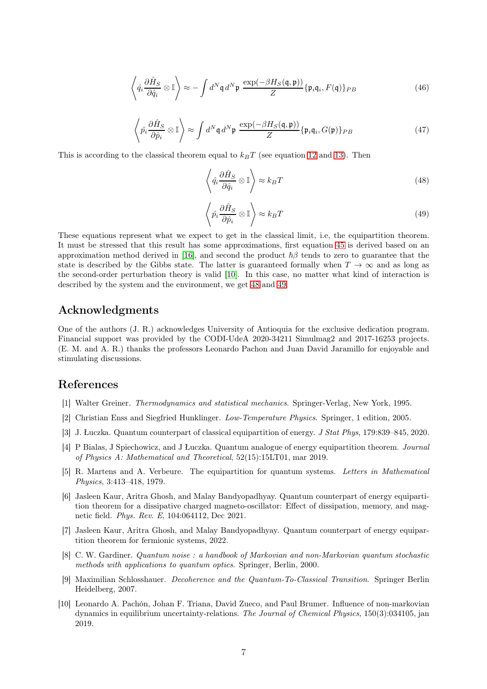$$
\left\langle \hat{q}_i \frac{\partial \hat{H}_S}{\partial \hat{q}_i} \otimes \mathbb{I} \right\rangle \approx -\int d^N \mathfrak{q} \, d^N \mathfrak{p} \, \frac{\exp(-\beta H_S(\mathfrak{q}, \mathfrak{p}))}{Z} \{ \mathfrak{p}_i \mathfrak{q}_i, F(\mathfrak{q}) \}_{PB} \tag{46}
$$

$$
\left\langle \hat{p}_i \frac{\partial \hat{H}_S}{\partial \hat{p}_i} \otimes \mathbb{I} \right\rangle \approx \int d^N \mathfrak{q} \, d^N \mathfrak{p} \, \frac{\exp(-\beta H_S(\mathfrak{q}, \mathfrak{p}))}{Z} \{ \mathfrak{p}_i \mathfrak{q}_i, G(\mathfrak{p}) \}_{PB} \tag{47}
$$

This is according to the classical theorem equal to  $k_BT$  (see equation [12](#page-2-2) and [13\)](#page-2-3). Then

<span id="page-6-10"></span>
$$
\left\langle \hat{q}_i \frac{\partial \hat{H}_S}{\partial \hat{q}_i} \otimes \mathbb{I} \right\rangle \approx k_B T \tag{48}
$$

<span id="page-6-11"></span>
$$
\left\langle \hat{p}_i \frac{\partial \hat{H}_S}{\partial \hat{p}_i} \otimes \mathbb{I} \right\rangle \approx k_B T \tag{49}
$$

These equations represent what we expect to get in the classical limit, i.e, the equipartition theorem. It must be stressed that this result has some approximations, first equation [45](#page-5-3) is derived based on an approximation method derived in [\[16\]](#page-7-5), and second the product  $\hbar\beta$  tends to zero to guarantee that the state is described by the Gibbs state. The latter is guaranteed formally when  $T \to \infty$  and as long as the second-order perturbation theory is valid [\[10\]](#page-6-9). In this case, no matter what kind of interaction is described by the system and the environment, we get [48](#page-6-10) and [49.](#page-6-11)

# Acknowledgments

One of the authors (J. R.) acknowledges University of Antioquia for the exclusive dedication program. Financial support was provided by the CODI-UdeA 2020-34211 Simulmag2 and 2017-16253 projects. (E. M. and A. R.) thanks the professors Leonardo Pachon and Juan David Jaramillo for enjoyable and stimulating discussions.

# <span id="page-6-0"></span>References

- <span id="page-6-1"></span>[1] Walter Greiner. *Thermodynamics and statistical mechanics*. Springer-Verlag, New York, 1995.
- <span id="page-6-2"></span>[2] Christian Enss and Siegfried Hunklinger. *Low-Temperature Physics*. Springer, 1 edition, 2005.
- <span id="page-6-3"></span>[3] J. Łuczka. Quantum counterpart of classical equipartition of energy. *J Stat Phys*, 179:839–845, 2020.
- [4] P Bialas, J Spiechowicz, and J Łuczka. Quantum analogue of energy equipartition theorem. *Journal of Physics A: Mathematical and Theoretical*, 52(15):15LT01, mar 2019.
- <span id="page-6-4"></span>[5] R. Martens and A. Verbeure. The equipartition for quantum systems. *Letters in Mathematical Physics*, 3:413–418, 1979.
- <span id="page-6-5"></span>[6] Jasleen Kaur, Aritra Ghosh, and Malay Bandyopadhyay. Quantum counterpart of energy equipartition theorem for a dissipative charged magneto-oscillator: Effect of dissipation, memory, and magnetic field. *Phys. Rev. E*, 104:064112, Dec 2021.
- <span id="page-6-6"></span>[7] Jasleen Kaur, Aritra Ghosh, and Malay Bandyopadhyay. Quantum counterpart of energy equipartition theorem for fermionic systems, 2022.
- <span id="page-6-7"></span>[8] C. W. Gardiner. *Quantum noise : a handbook of Markovian and non-Markovian quantum stochastic methods with applications to quantum optics*. Springer, Berlin, 2000.
- <span id="page-6-8"></span>[9] Maximilian Schlosshauer. *Decoherence and the Quantum-To-Classical Transition*. Springer Berlin Heidelberg, 2007.
- <span id="page-6-9"></span>[10] Leonardo A. Pachón, Johan F. Triana, David Zueco, and Paul Brumer. Influence of non-markovian dynamics in equilibrium uncertainty-relations. *The Journal of Chemical Physics*, 150(3):034105, jan 2019.